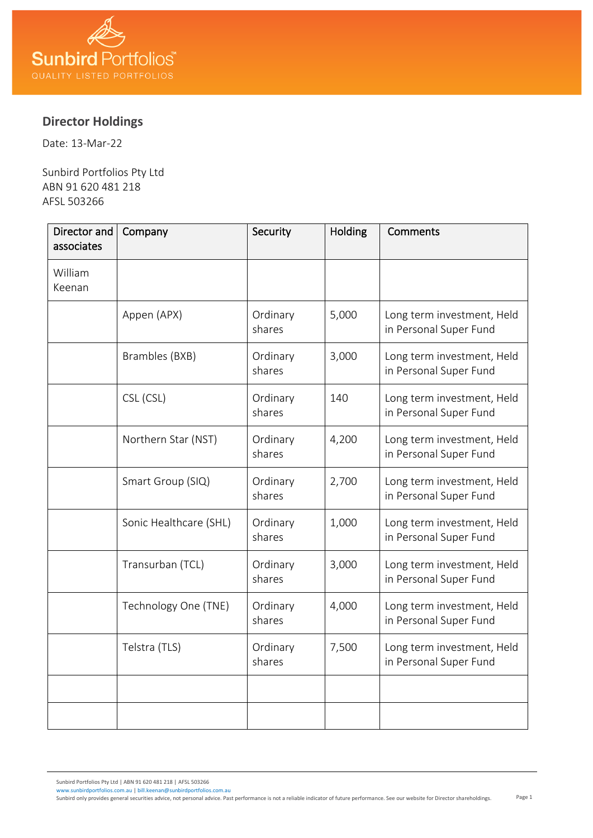

## **Director Holdings**

Date: 13-Mar-22

Sunbird Portfolios Pty Ltd ABN 91 620 481 218 AFSL 503266

| Director and<br>associates | Company                | Security           | Holding | <b>Comments</b>                                      |
|----------------------------|------------------------|--------------------|---------|------------------------------------------------------|
| William<br>Keenan          |                        |                    |         |                                                      |
|                            | Appen (APX)            | Ordinary<br>shares | 5,000   | Long term investment, Held<br>in Personal Super Fund |
|                            | Brambles (BXB)         | Ordinary<br>shares | 3,000   | Long term investment, Held<br>in Personal Super Fund |
|                            | CSL (CSL)              | Ordinary<br>shares | 140     | Long term investment, Held<br>in Personal Super Fund |
|                            | Northern Star (NST)    | Ordinary<br>shares | 4,200   | Long term investment, Held<br>in Personal Super Fund |
|                            | Smart Group (SIQ)      | Ordinary<br>shares | 2,700   | Long term investment, Held<br>in Personal Super Fund |
|                            | Sonic Healthcare (SHL) | Ordinary<br>shares | 1,000   | Long term investment, Held<br>in Personal Super Fund |
|                            | Transurban (TCL)       | Ordinary<br>shares | 3,000   | Long term investment, Held<br>in Personal Super Fund |
|                            | Technology One (TNE)   | Ordinary<br>shares | 4,000   | Long term investment, Held<br>in Personal Super Fund |
|                            | Telstra (TLS)          | Ordinary<br>shares | 7,500   | Long term investment, Held<br>in Personal Super Fund |
|                            |                        |                    |         |                                                      |
|                            |                        |                    |         |                                                      |

Sunbird Portfolios Pty Ltd | ABN 91 620 481 218 | AFSL 503266 [www.sunbirdportfolios.com.au](http://www.sunbirdportfolios.com.au/) [| bill.keenan@sunbirdportfolios.com.au](mailto:bill.keenan@sunbirdportfolios.com.au)

Page 1 Sunbird only provides general securities advice, not personal advice. Past performance is not a reliable indicator of future performance. See our website for Director shareholdings.